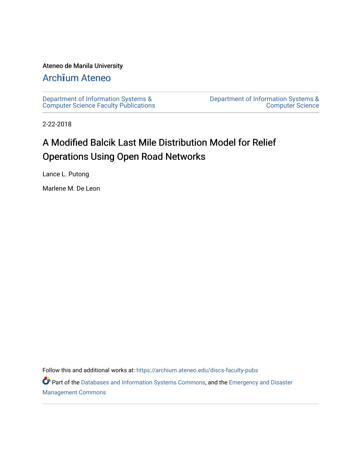# Ateneo de Manila University

# Arch**ī**[um Ateneo](https://archium.ateneo.edu/)

[Department of Information Systems &](https://archium.ateneo.edu/discs-faculty-pubs)  [Computer Science Faculty Publications](https://archium.ateneo.edu/discs-faculty-pubs)  [Department of Information Systems &](https://archium.ateneo.edu/discs)  [Computer Science](https://archium.ateneo.edu/discs) 

2-22-2018

# A Modified Balcik Last Mile Distribution Model for Relief Operations Using Open Road Networks

Lance L. Putong

Marlene M. De Leon

Follow this and additional works at: [https://archium.ateneo.edu/discs-faculty-pubs](https://archium.ateneo.edu/discs-faculty-pubs?utm_source=archium.ateneo.edu%2Fdiscs-faculty-pubs%2F270&utm_medium=PDF&utm_campaign=PDFCoverPages) 

Part of the [Databases and Information Systems Commons](http://network.bepress.com/hgg/discipline/145?utm_source=archium.ateneo.edu%2Fdiscs-faculty-pubs%2F270&utm_medium=PDF&utm_campaign=PDFCoverPages), and the [Emergency and Disaster](http://network.bepress.com/hgg/discipline/1321?utm_source=archium.ateneo.edu%2Fdiscs-faculty-pubs%2F270&utm_medium=PDF&utm_campaign=PDFCoverPages) [Management Commons](http://network.bepress.com/hgg/discipline/1321?utm_source=archium.ateneo.edu%2Fdiscs-faculty-pubs%2F270&utm_medium=PDF&utm_campaign=PDFCoverPages)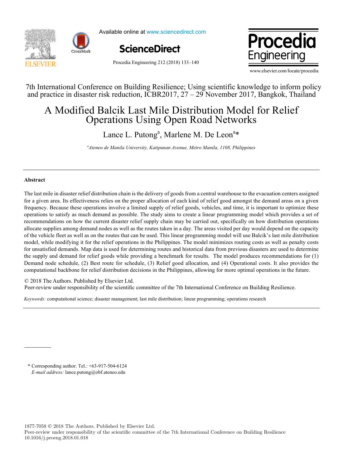



Available online at www.sciencedirect.com





Procedia Engineering 212 (2018) 133–140

www.elsevier.com/locate/procedia

7th International Conference on Building Resilience; Using scientific knowledge to inform policy 7th International Conference on Building Resilience; Using scientific knowledge to inform policy and practice in disaster risk reduction, ICBR2017, 27 – 29 November 2017, Bangkok, Thailand and practice in disaster risk reduction, ICBR2017, 27 – 29 November 2017, Bangkok, Thailand

# A Modified Balcik Last Mile Distribution Model for Relief A Modified Balcik Last Mile Distribution Model for Relief Operations Using Open Road Networks Operations Using Open Road Networks

Lance L. Putong<sup>a</sup>, Marlene M. De Leon<sup>a\*</sup>

*a Ateneo de Manila University, Katipunan Avenue, Metro Manila, 1108, Philippines a Ateneo de Manila University, Katipunan Avenue, Metro Manila, 1108, Philippines*

# **Abstract Abstract**

The last mile in disaster relief distribution chain is the delivery of goods from a central warehouse to the evacuation centers assigned for a given area. Its effectiveness relies on the proper allocation of each kind of relief good amongst the demand areas on a given frequency. Because these operations involve a limited supply of relief goods, vehicles, and time, it is important to optimize these operations to satisfy as much demand as possible. The study aims to create a linear programming model which provides a set of recommendations on how the current disaster relief supply chain may be carried out, specifically on how distribution operations allocate supplies among demand nodes as well as the routes taken in a day. The areas visited per day would depend on the capacity of the vehicle fleet as well as on the routes that can be used. This linear programming model will use Balcik's last mile distribution model, while modifying it for the relief operations in the Philippines. The model minimizes routing costs as well as penalty costs for unsatisfied demands. Map data is used for determining routes and historical data from previous disasters are used to determine the supply and demand for relief goods while providing a benchmark for results. The model produces recommendations for (1) Demand node schedule, (2) Best route for schedule, (3) Relief good allocation, and (4) Operational costs. It also provides the computational backbone for relief distribution decisions in the Philippines, allowing for more optimal operations in the future.

© 2018 The Authors. Published by Elsevier Ltd.

e 2016 The Additions. I donsited by Eisevier Edd.<br>Peer-review under responsibility of the scientific committee of the 7th International Conference on Building Resilience.

Keywords: computational science; disaster management; last mile distribution; linear programming; operations research

\* Corresponding author. Tel.: +63-917-504-6124 \* Corresponding author. Tel.: +63-917-504-6124 *E-mail address:* lance.putong@obf.ateneo.edu *E-mail address:* lance.putong@obf.ateneo.edu

1877-7058 © 2018 The Authors. Published by Elsevier Ltd.

Peer-review under responsibility of the scientific committee of the 7th International Conference on Building Resilience 10.1016/j.proeng.2018.01.018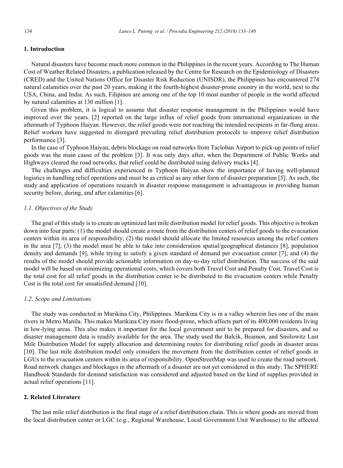# **1. Introduction**

Natural disasters have become much more common in the Philippines in the recent years. According to The Human Cost of Weather Related Disasters, a publication released by the Centre for Research on the Epidemiology of Disasters (CRED) and the United Nations Office for Disaster Risk Reduction (UNISDR), the Philippines has encountered 274 natural calamities over the past 20 years, making it the fourth-highest disaster-prone country in the world, next to the USA, China, and India. As such, Filipinos are among one of the top 10 most number of people in the world affected by natural calamities at 130 million [1].

Given this problem, it is logical to assume that disaster response management in the Philippines would have improved over the years. [2] reported on the large influx of relief goods from international organizations in the aftermath of Typhoon Haiyan. However, the relief goods were not reaching the intended recipients in far-flung areas. Relief workers have suggested to disregard prevailing relief distribution protocols to improve relief distribution performance [3].

In the case of Typhoon Haiyan, debris blockage on road networks from Tacloban Airport to pick-up points of relief goods was the main cause of the problem [3]. It was only days after, when the Department of Public Works and Highways cleared the road networks, that relief could be distributed using delivery trucks [4].

The challenges and difficulties experienced in Typhoon Haiyan show the importance of having well-planned logistics in handling relief operations and must be as critical as any other form of disaster preparation [5]. As such, the study and application of operations research in disaster response management is advantageous in providing human security before, during, and after calamities [6].

# *1.1. Objectives of the Study*

The goal of this study is to create an optimized last mile distribution model for relief goods. This objective is broken down into four parts: (1) the model should create a route from the distribution centers of relief goods to the evacuation centers within its area of responsibility; (2) the model should allocate the limited resources among the relief centers in the area [7]; (3) the model must be able to take into consideration spatial/geographical distances [8], population density and demands [9], while trying to satisfy a given standard of demand per evacuation center [7]; and (4) the results of the model should provide actionable information on day-to-day relief distribution. The success of the said model will be based on minimizing operational costs, which covers both Travel Cost and Penalty Cost. Travel Cost is the total cost for all relief goods in the distribution center to be distributed to the evacuation centers while Penalty Cost is the total cost for unsatisfied demand [10].

#### *1.2. Scope and Limitations*

The study was conducted in Marikina City, Philippines. Marikina City is in a valley wherein lies one of the main rivers in Metro Manila. This makes Marikina City more flood-prone, which affects part of its 400,000 residents living in low-lying areas. This also makes it important for the local government unit to be prepared for disasters, and so disaster management data is readily available for the area. The study used the Balcik, Beamon, and Smilowitz Last Mile Distribution Model for supply allocation and determining routes for distributing relief goods in disaster areas [10]. The last mile distribution model only considers the movement from the distribution center of relief goods in LGUs to the evacuation centers within its area of responsibility. OpenStreetMap was used to create the road network. Road network changes and blockages in the aftermath of a disaster are not yet considered in this study. The SPHERE Handbook Standards for demand satisfaction was considered and adjusted based on the kind of supplies provided in actual relief operations [11].

# **2. Related Literature**

The last mile relief distribution is the final stage of a relief distribution chain. This is where goods are moved from the local distribution center or LGC (e.g., Regional Warehouse, Local Government Unit Warehouse) to the affected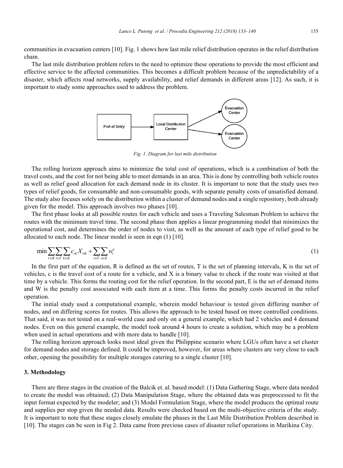communities in evacuation centers [10]. Fig. 1 shows how last mile relief distribution operates in the relief distribution chain.

The last mile distribution problem refers to the need to optimize these operations to provide the most efficient and effective service to the affected communities. This becomes a difficult problem because of the unpredictability of a disaster, which affects road networks, supply availability, and relief demands in different areas [12]. As such, it is important to study some approaches used to address the problem.



*Fig. 1. Diagram for last mile distribution*

The rolling horizon approach aims to minimize the total cost of operations, which is a combination of both the travel costs, and the cost for not being able to meet demands in an area. This is done by controlling both vehicle routes as well as relief good allocation for each demand node in its cluster. It is important to note that the study uses two types of relief goods, for consumable and non-consumable goods, with separate penalty costs of unsatisfied demand. The study also focuses solely on the distribution within a cluster of demand nodes and a single repository, both already given for the model. This approach involves two phases [10].

The first phase looks at all possible routes for each vehicle and uses a Traveling Salesman Problem to achieve the routes with the minimum travel time. The second phase then applies a linear programming model that minimizes the operational cost, and determines the order of nodes to visit, as well as the amount of each type of relief good to be allocated to each node. The linear model is seen in eqn (1) [10].

$$
\min \sum_{r \in R} \sum_{t \in T} \sum_{k \in K} c_{rk} X_{rk} + \sum_{t \in T} \sum_{e \in E} w_t^e \tag{1}
$$

In the first part of the equation, R is defined as the set of routes, T is the set of planning intervals, K is the set of vehicles, c is the travel cost of a route for a vehicle, and  $X$  is a binary value to check if the route was visited at that time by a vehicle. This forms the routing cost for the relief operation. In the second part, E is the set of demand items and W is the penalty cost associated with each item at a time. This forms the penalty costs incurred in the relief operation.

The initial study used a computational example, wherein model behaviour is tested given differing number of nodes, and on differing scores for routes. This allows the approach to be tested based on more controlled conditions. That said, it was not tested on a real-world case and only on a general example, which had 2 vehicles and 4 demand nodes. Even on this general example, the model took around 4 hours to create a solution, which may be a problem when used in actual operations and with more data to handle [10].

The rolling horizon approach looks most ideal given the Philippine scenario where LGUs often have a set cluster for demand nodes and storage defined. It could be improved, however, for areas where clusters are very close to each other, opening the possibility for multiple storages catering to a single cluster [10].

### **3. Methodology**

There are three stages in the creation of the Balcik et. al. based model: (1) Data Gathering Stage, where data needed to create the model was obtained; (2) Data Manipulation Stage, where the obtained data was preprocessed to fit the input format expected by the modeler; and (3) Model Formulation Stage, where the model produces the optimal route and supplies per stop given the needed data. Results were checked based on the multi-objective criteria of the study. It is important to note that these stages closely emulate the phases in the Last Mile Distribution Problem described in [10]. The stages can be seen in Fig 2. Data came from previous cases of disaster relief operations in Marikina City.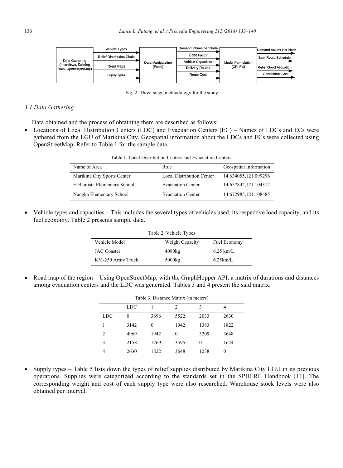

Fig. 2. Three-stage methodology for the study

# *3.1 Data Gathering*

Data obtained and the process of obtaining them are described as follows:

• Locations of Local Distribution Centers (LDC) and Evacuation Centers (EC) – Names of LDCs and ECs were gathered from the LGU of Marikina City. Geospatial information about the LDCs and ECs were collected using OpenStreetMap. Refer to Table 1 for the sample data.

| Table 1. Local Distribution Centers and Evacuation Centers. |                                  |                        |  |  |  |  |  |  |
|-------------------------------------------------------------|----------------------------------|------------------------|--|--|--|--|--|--|
| Name of Area                                                | Role                             | Geospatial Information |  |  |  |  |  |  |
| Marikina City Sports Center                                 | <b>Local Distribution Center</b> | 14.634055,121.099296   |  |  |  |  |  |  |
| H Bautista Elementary School                                | <b>Evacuation Center</b>         | 14.657842,121.104312   |  |  |  |  |  |  |
| Nangka Elementary School                                    | <b>Evacuation Center</b>         | 14.672985,121.108485   |  |  |  |  |  |  |

• Vehicle types and capacities – This includes the several types of vehicles used, its respective load capacity, and its fuel economy. Table 2 presents sample data.

| Table 2. Vehicle Types |                 |              |  |  |  |  |  |  |
|------------------------|-----------------|--------------|--|--|--|--|--|--|
| Vehicle Model          | Weight Capacity | Fuel Economy |  |  |  |  |  |  |
| <b>JAC</b> Coaster     | 4080kg          | $6.25$ km/L  |  |  |  |  |  |  |
| KM-250 Army Truck      | 5000kg          | $6.25$ km/L  |  |  |  |  |  |  |

• Road map of the region – Using OpenStreetMap, with the GraphHopper API, a matrix of durations and distances among evacuation centers and the LDC was generated. Tables 3 and 4 present the said matrix.

|                | Table 3. Distance Matrix (in meters) |      |                |          |      |  |  |  |  |  |  |
|----------------|--------------------------------------|------|----------------|----------|------|--|--|--|--|--|--|
|                | <b>LDC</b>                           |      | $\mathfrak{D}$ | 3        | 4    |  |  |  |  |  |  |
| <b>LDC</b>     | 0                                    | 3696 | 5522           | 2033     | 2630 |  |  |  |  |  |  |
|                | 3142                                 | 0    | 1942           | 1383     | 1822 |  |  |  |  |  |  |
| $\overline{c}$ | 4969                                 | 1942 | 0              | 3209     | 3648 |  |  |  |  |  |  |
| 3              | 2158                                 | 1769 | 3595           | $\theta$ | 1624 |  |  |  |  |  |  |
| 4              | 2630                                 | 1822 | 3648           | 1238     | 0    |  |  |  |  |  |  |

• Supply types – Table 5 lists down the types of relief supplies distributed by Marikina City LGU in its previous operations. Supplies were categorized according to the standards set in the SPHERE Handbook [11]. The corresponding weight and cost of each supply type were also researched. Warehouse stock levels were also obtained per interval.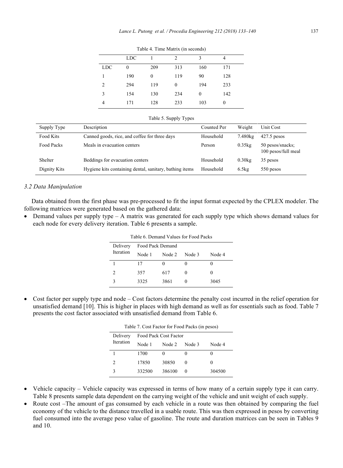|            | <b>LDC</b>   |     | $\mathfrak{D}$ | 3        | 4   |  |
|------------|--------------|-----|----------------|----------|-----|--|
| <b>LDC</b> | $\mathbf{0}$ | 209 | 313            | 160      | 171 |  |
|            | 190          | 0   | 119            | 90       | 128 |  |
| 2          | 294          | 119 | $\theta$       | 194      | 233 |  |
| 3          | 154          | 130 | 234            | $\theta$ | 142 |  |
| 4          | 171          | 128 | 233            | 103      | 0   |  |

Table 4. Time Matrix (in seconds)

|  | Table 5. Supply Types |  |
|--|-----------------------|--|

| Supply Type  | Description                                             | Counted Per | Weight    | Unit Cost                               |
|--------------|---------------------------------------------------------|-------------|-----------|-----------------------------------------|
| Food Kits    | Canned goods, rice, and coffee for three days           | Household   | 7.480kg   | $427.5$ pesos                           |
| Food Packs   | Meals in evacuation centers                             | Person      | $0.35$ kg | 50 pesos/snacks;<br>100 pesos/full meal |
| Shelter      | Beddings for evacuation centers                         | Household   | $0.30$ kg | 35 pesos                                |
| Dignity Kits | Hygiene kits containing dental, sanitary, bathing items | Household   | 6.5kg     | 550 pesos                               |

## *3.2 Data Manipulation*

Data obtained from the first phase was pre-processed to fit the input format expected by the CPLEX modeler. The following matrices were generated based on the gathered data:

• Demand values per supply type  $- A$  matrix was generated for each supply type which shows demand values for each node for every delivery iteration. Table 6 presents a sample.

| Table 6. Demand Values for Food Packs |                  |        |        |        |  |  |  |  |  |
|---------------------------------------|------------------|--------|--------|--------|--|--|--|--|--|
| Delivery<br>Iteration                 | Food Pack Demand |        |        |        |  |  |  |  |  |
|                                       | Node 1           | Node 2 | Node 3 | Node 4 |  |  |  |  |  |
|                                       | 17               |        |        |        |  |  |  |  |  |
| 2                                     | 357              | 617    |        |        |  |  |  |  |  |
|                                       | 3325             | 3861   |        | 3045   |  |  |  |  |  |

• Cost factor per supply type and node – Cost factors determine the penalty cost incurred in the relief operation for unsatisfied demand [10]. This is higher in places with high demand as well as for essentials such as food. Table 7 presents the cost factor associated with unsatisfied demand from Table 6.

| Table 7. Cost Factor for Food Packs (in pesos) |  |  |  |
|------------------------------------------------|--|--|--|
|------------------------------------------------|--|--|--|

| Delivery<br>Iteration | Food Pack Cost Factor |          |          |        |  |  |  |  |
|-----------------------|-----------------------|----------|----------|--------|--|--|--|--|
|                       | Node 1                | Node 2   | Node 3   | Node 4 |  |  |  |  |
|                       | 1700                  | $\Omega$ |          | 0      |  |  |  |  |
| 2                     | 17850                 | 30850    | $\Omega$ | $_{0}$ |  |  |  |  |
| ς                     | 332500                | 386100   | $\theta$ | 304500 |  |  |  |  |

- Vehicle capacity Vehicle capacity was expressed in terms of how many of a certain supply type it can carry. Table 8 presents sample data dependent on the carrying weight of the vehicle and unit weight of each supply.
- Route cost –The amount of gas consumed by each vehicle in a route was then obtained by comparing the fuel economy of the vehicle to the distance travelled in a usable route. This was then expressed in pesos by converting fuel consumed into the average peso value of gasoline. The route and duration matrices can be seen in Tables 9 and 10.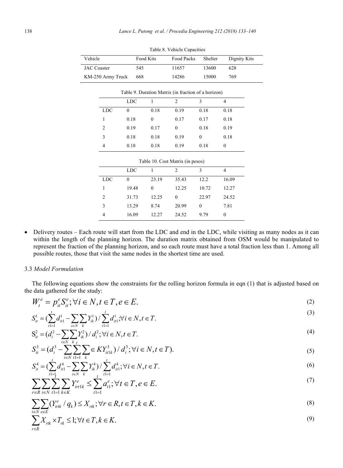$\frac{V}{L}$ 

| Vehicle            |                   | Food Kits    |                  | Food Packs                                          | Shelter          | Dignity Kits     |
|--------------------|-------------------|--------------|------------------|-----------------------------------------------------|------------------|------------------|
| <b>JAC</b> Coaster |                   | 545          |                  | 11657                                               | 13600            | 628              |
|                    | KM-250 Army Truck | 668          |                  | 14286                                               | 15000            | 769              |
|                    |                   |              |                  | Table 9. Duration Matrix (in fraction of a horizon) |                  |                  |
|                    |                   | <b>LDC</b>   | $\mathbf{1}$     | $\overline{2}$                                      | 3                | $\overline{4}$   |
|                    | <b>LDC</b>        | $\theta$     | 0.18             | 0.19                                                | 0.18             | 0.18             |
|                    | 1                 | 0.18         | $\mathbf{0}$     | 0.17                                                | 0.17             | 0.18             |
|                    | $\overline{2}$    | 0.19         | 0.17             | $\mathbf{0}$                                        | 0.18             | 0.19             |
|                    | 3                 | 0.18         | 0.18             | 0.19                                                | $\mathbf{0}$     | 0.18             |
|                    | 4                 | 0.18         | 0.18             | 0.19                                                | 0.18             | $\mathbf{0}$     |
|                    |                   |              |                  | Table 10. Cost Matrix (in pesos)                    |                  |                  |
|                    |                   | <b>LDC</b>   | 1                | $\overline{c}$                                      | 3                | $\overline{4}$   |
|                    | <b>LDC</b>        | $\mathbf{0}$ | 23.19            | 35.43                                               | 12.2             | 16.09            |
|                    | 1                 | 19.48        | $\boldsymbol{0}$ | 12.25                                               | 10.72            | 12.27            |
|                    | $\overline{2}$    | 31.73        | 12.25            | $\mathbf{0}$                                        | 22.97            | 24.52            |
|                    | 3                 | 13.29        | 8.74             | 20.99                                               | $\boldsymbol{0}$ | 7.81             |
|                    | 4                 | 16.09        | 12.27            | 24.52                                               | 9.79             | $\boldsymbol{0}$ |

Table 8. Vehicle Capacities

Delivery routes – Each route will start from the LDC and end in the LDC, while visiting as many nodes as it can  $\bullet$ within the length of the planning horizon. The duration matrix obtained from OSM would be manipulated to represent the fraction of the planning horizon, and so each route must have a total fraction less than 1. Among all possible routes, those that visit the same nodes in the shortest time are used.

# 3.3 Model Formulation

The following equations show the constraints for the rolling horizon formula in eqn (1) that is adjusted based on the data gathered for the study:

$$
W_t^e = p_{it}^e S_{it}^e; \forall i \in N, t \in T, e \in E.
$$
\n
$$
(2)
$$

$$
S_{it}^1 = \left(\sum_{t=1}^t d_{it}^1 - \sum_{i \in N} \sum_k Y_{ik}^1\right) / \sum_{t=1}^t d_{it}^1; \forall i \in N, t \in T.
$$
\n<sup>(3)</sup>

$$
S_{it}^{2} = (d_{i}^{2} - \sum_{i \in N} \sum_{k} Y_{ik}^{2}) / d_{i}^{2}; \forall i \in N, t \in T.
$$
\n(4)

$$
S_{it}^3 = (d_i^3 - \sum_{i \in N} \sum_{t=1}^{k} \sum_k \in KY_{it1k}^3) / d_i^3; \forall i \in N, t \in T).
$$
 (5)

$$
S_{it}^4 = \left(\sum_{t=1}^t d_{it1}^4 - \sum_{i \in N} \sum_k Y_{ik}^4\right) / \sum_{t=1}^t d_{it1}^4; \forall i \in N, t \in T.
$$
 (6)

$$
\sum_{r \in R} \sum_{i \in N} \sum_{t=1}^{t} \sum_{k \in K} Y_{irt1k}^{e} \le \sum_{t=1}^{t} a_{t1}^{e}; \forall t \in T, e \in E.
$$
\n<sup>(7)</sup>

$$
\sum_{i\in\mathbb{N}}\sum_{e\in E}(Y_{irtk}^e \mid q_k) \le X_{rik}; \forall r \in \mathbb{R}, t \in \mathbb{T}, k \in K.
$$
\n
$$
(8)
$$

$$
\sum_{r \in R} X_{rk} \times T_{rk} \le 1; \forall t \in T, k \in K.
$$
\n<sup>(9)</sup>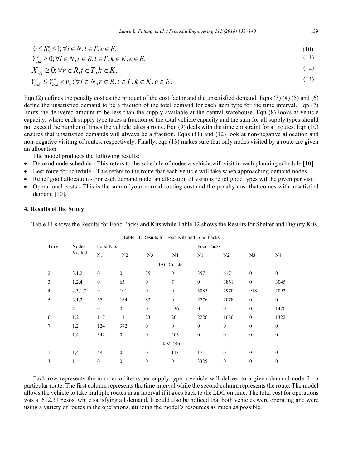$$
0 \le S_{it}^e \le 1; \forall i \in N, t \in T, e \in E. \tag{10}
$$

$$
Y_{\scriptscriptstyle i\prime\prime\prime\prime}^e \geq 0; \forall i \in N, r \in R, t \in T, k \in K, e \in E. \tag{11}
$$

$$
X_{rk} \ge 0; \forall r \in R, t \in T, k \in K.
$$
\n<sup>(12)</sup>

$$
Y_{\rm int}^e \le Y_{\rm int}^e \times \nu_{\rm in}; \forall i \in N, r \in R, t \in T, k \in K, e \in E.
$$
\n
$$
(13)
$$

Eqn (2) defines the penalty cost as the product of the cost factor and the unsatisfied demand. Eqns (3) (4) (5) and (6) define the unsatisfied demand to be a fraction of the total demand for each item type for the time interval. Eqn (7) limits the delivered amount to be less than the supply available at the central warehouse. Eqn (8) looks at vehicle capacity, where each supply type takes a fraction of the total vehicle capacity and the sum for all supply types should not exceed the number of times the vehicle takes a route. Eqn (9) deals with the time constraint for all routes. Eqn (10) ensures that unsatisfied demands will always be a fraction. Eqns  $(11)$  and  $(12)$  look at non-negative allocation and non-negative visiting of routes, respectively. Finally, eqn (13) makes sure that only nodes visited by a route are given an allocation

The model produces the following results:

- Demand node schedule This refers to the schedule of nodes a vehicle will visit in each planning schedule [10].
- Best route for schedule This refers to the route that each vehicle will take when approaching demand nodes.
- Relief good allocation For each demand node, an allocation of various relief good types will be given per visit.  $\bullet$
- Operational costs This is the sum of your normal routing cost and the penalty cost that comes with unsatisfied demand [10].

# 4. Results of the Study

Table 11 shows the Results for Food Packs and Kits while Table 12 shows the Results for Shelter and Dignity Kits.

|                    | Table TT. Results for I bod Kits and I bod I acks |                  |                  |                  |                  |                  |                  |                  |                  |  |  |  |
|--------------------|---------------------------------------------------|------------------|------------------|------------------|------------------|------------------|------------------|------------------|------------------|--|--|--|
| Time               | Nodes                                             | Food Kits        |                  |                  |                  |                  | Food Packs       |                  |                  |  |  |  |
|                    | Visited                                           | N1               | N <sub>2</sub>   | N <sub>3</sub>   | N <sub>4</sub>   | N1               | N <sub>2</sub>   | N <sub>3</sub>   | N <sub>4</sub>   |  |  |  |
| <b>JAC</b> Coaster |                                                   |                  |                  |                  |                  |                  |                  |                  |                  |  |  |  |
| 2                  | 3,1,2                                             | $\boldsymbol{0}$ | $\mathbf{0}$     | 75               | $\boldsymbol{0}$ | 357              | 617              | $\mathbf{0}$     | $\mathbf{0}$     |  |  |  |
| 3                  | 1,2,4                                             | $\boldsymbol{0}$ | 63               | $\boldsymbol{0}$ | 7                | $\boldsymbol{0}$ | 3861             | $\boldsymbol{0}$ | 3045             |  |  |  |
| 4                  | 4,3,1,2                                           | $\boldsymbol{0}$ | 101              | $\boldsymbol{0}$ | $\boldsymbol{0}$ | 3085             | 2970             | 918              | 2092             |  |  |  |
| 5                  | 3,1,2                                             | 67               | 164              | 83               | $\boldsymbol{0}$ | 2776             | 2078             | $\boldsymbol{0}$ | $\boldsymbol{0}$ |  |  |  |
|                    | $\overline{4}$                                    | $\boldsymbol{0}$ | $\boldsymbol{0}$ | $\boldsymbol{0}$ | 236              | $\boldsymbol{0}$ | $\boldsymbol{0}$ | $\boldsymbol{0}$ | 1420             |  |  |  |
| 6                  | 1,2                                               | 117              | 111              | 23               | 20               | 2226             | 1680             | $\mathbf{0}$     | 1322             |  |  |  |
| 7                  | 1,2                                               | 124              | 372              | $\boldsymbol{0}$ | $\boldsymbol{0}$ | $\mathbf{0}$     | $\mathbf{0}$     | $\mathbf{0}$     | $\boldsymbol{0}$ |  |  |  |
|                    | 1,4                                               | 342              | $\boldsymbol{0}$ | $\boldsymbol{0}$ | 203              | $\boldsymbol{0}$ | $\boldsymbol{0}$ | $\boldsymbol{0}$ | $\mathbf{0}$     |  |  |  |
|                    |                                                   |                  |                  |                  | KM-250           |                  |                  |                  |                  |  |  |  |
| 1                  | 1,4                                               | 49               | $\mathbf{0}$     | $\boldsymbol{0}$ | 113              | 17               | $\boldsymbol{0}$ | $\mathbf{0}$     | $\mathbf{0}$     |  |  |  |
| 3                  | 1                                                 | $\boldsymbol{0}$ | $\mathbf{0}$     | $\boldsymbol{0}$ | $\boldsymbol{0}$ | 3325             | $\boldsymbol{0}$ | $\boldsymbol{0}$ | $\boldsymbol{0}$ |  |  |  |
|                    |                                                   |                  |                  |                  |                  |                  |                  |                  |                  |  |  |  |

 $T-1.1 - 11 - T_1 = 1.14 - T_2 = T_1 = 1.1774 = 1.14 T_1 = 1.1 T_2 = 1.1$ 

Each row represents the number of items per supply type a vehicle will deliver to a given demand node for a particular route. The first column represents the time interval while the second column represents the route. The model allows the vehicle to take multiple routes in an interval if it goes back to the LDC on time. The total cost for operations was at 612.31 pesos, while satisfying all demand. It could also be noticed that both vehicles were operating and were using a variety of routes in the operations, utilizing the model's resources as much as possible.